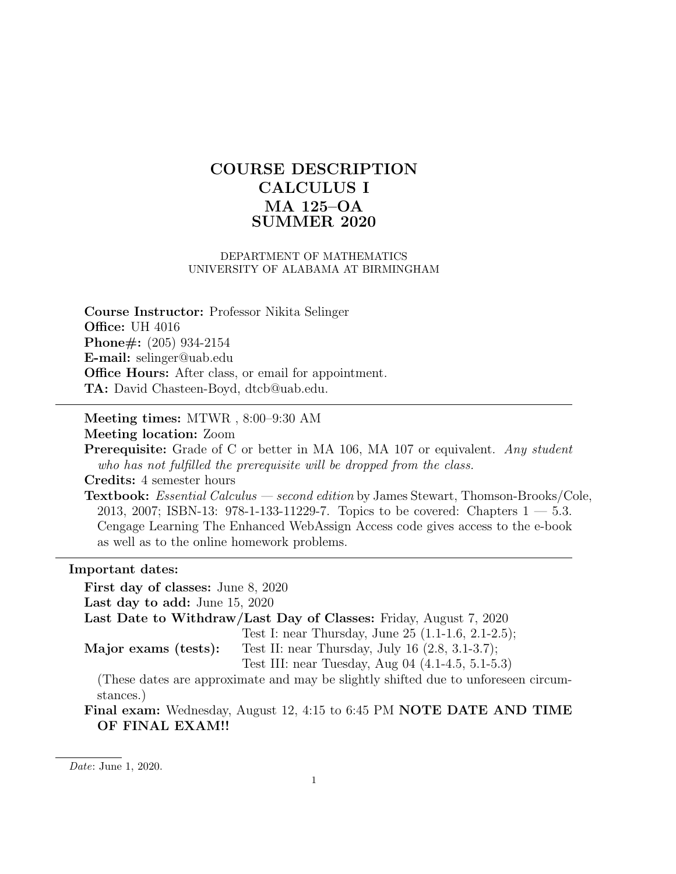# COURSE DESCRIPTION CALCULUS I MA 125–OA SUMMER 2020

### DEPARTMENT OF MATHEMATICS UNIVERSITY OF ALABAMA AT BIRMINGHAM

Course Instructor: Professor Nikita Selinger **Office: UH 4016** Phone#: (205) 934-2154 E-mail: selinger@uab.edu Office Hours: After class, or email for appointment. TA: David Chasteen-Boyd, dtcb@uab.edu.

Meeting times: MTWR , 8:00–9:30 AM

Meeting location: Zoom

**Prerequisite:** Grade of C or better in MA 106, MA 107 or equivalent. Any student who has not fulfilled the prerequisite will be dropped from the class.

Credits: 4 semester hours

Textbook: Essential Calculus — second edition by James Stewart, Thomson-Brooks/Cole, 2013, 2007; ISBN-13: 978-1-133-11229-7. Topics to be covered: Chapters 1 — 5.3. Cengage Learning The Enhanced WebAssign Access code gives access to the e-book as well as to the online homework problems.

#### Important dates:

First day of classes: June 8, 2020 Last day to add: June 15, 2020 Last Date to Withdraw/Last Day of Classes: Friday, August 7, 2020 Major exams (tests): Test I: near Thursday, June 25 (1.1-1.6, 2.1-2.5); Test II: near Thursday, July 16 (2.8, 3.1-3.7); Test III: near Tuesday, Aug 04 (4.1-4.5, 5.1-5.3) (These dates are approximate and may be slightly shifted due to unforeseen circumstances.)

Final exam: Wednesday, August 12, 4:15 to 6:45 PM NOTE DATE AND TIME OF FINAL EXAM!!

Date: June 1, 2020.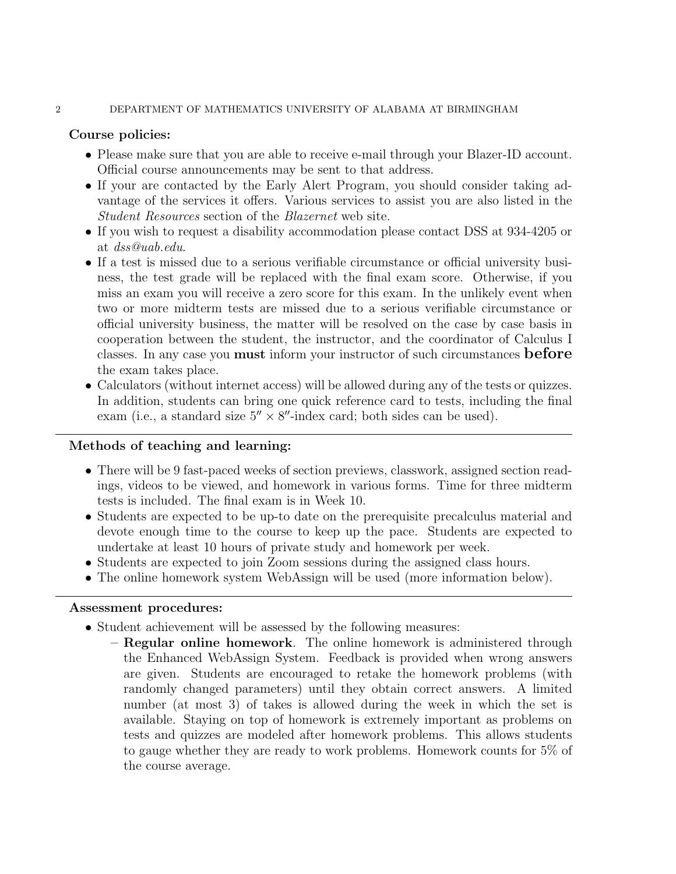### 2 DEPARTMENT OF MATHEMATICS UNIVERSITY OF ALABAMA AT BIRMINGHAM

# Course policies:

- Please make sure that you are able to receive e-mail through your Blazer-ID account. Official course announcements may be sent to that address.
- If your are contacted by the Early Alert Program, you should consider taking advantage of the services it offers. Various services to assist you are also listed in the Student Resources section of the Blazernet web site.
- If you wish to request a disability accommodation please contact DSS at 934-4205 or at dss@uab.edu.
- If a test is missed due to a serious verifiable circumstance or official university business, the test grade will be replaced with the final exam score. Otherwise, if you miss an exam you will receive a zero score for this exam. In the unlikely event when two or more midterm tests are missed due to a serious verifiable circumstance or official university business, the matter will be resolved on the case by case basis in cooperation between the student, the instructor, and the coordinator of Calculus I classes. In any case you **must** inform your instructor of such circumstances **before** the exam takes place.
- Calculators (without internet access) will be allowed during any of the tests or quizzes. In addition, students can bring one quick reference card to tests, including the final exam (i.e., a standard size  $5'' \times 8''$ -index card; both sides can be used).

# Methods of teaching and learning:

- There will be 9 fast-paced weeks of section previews, classwork, assigned section readings, videos to be viewed, and homework in various forms. Time for three midterm tests is included. The final exam is in Week 10.
- Students are expected to be up-to date on the prerequisite precalculus material and devote enough time to the course to keep up the pace. Students are expected to undertake at least 10 hours of private study and homework per week.
- Students are expected to join Zoom sessions during the assigned class hours.
- The online homework system WebAssign will be used (more information below).

# Assessment procedures:

- Student achievement will be assessed by the following measures:
	- Regular online homework. The online homework is administered through the Enhanced WebAssign System. Feedback is provided when wrong answers are given. Students are encouraged to retake the homework problems (with randomly changed parameters) until they obtain correct answers. A limited number (at most 3) of takes is allowed during the week in which the set is available. Staying on top of homework is extremely important as problems on tests and quizzes are modeled after homework problems. This allows students to gauge whether they are ready to work problems. Homework counts for 5% of the course average.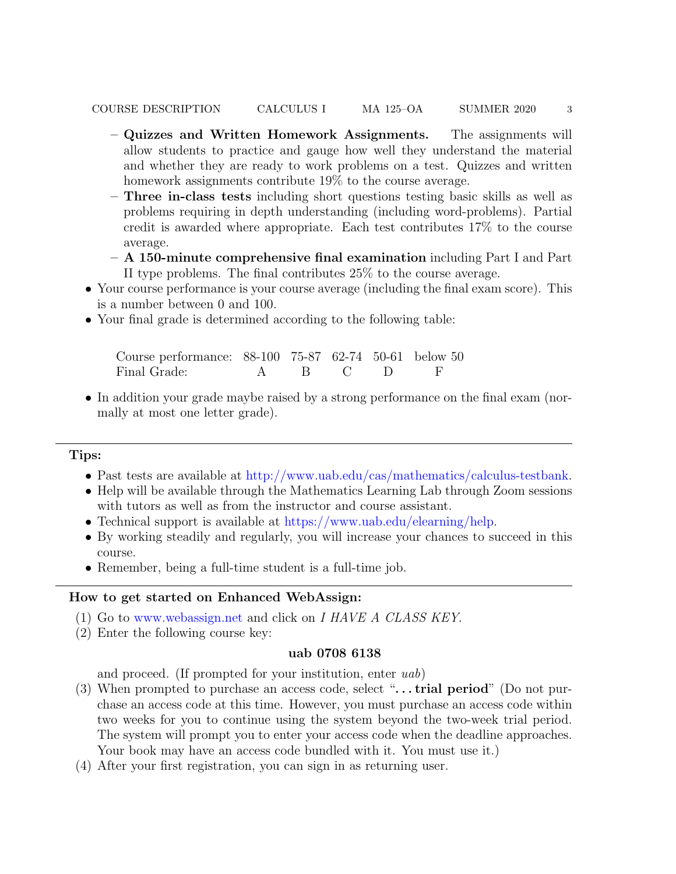- Quizzes and Written Homework Assignments. The assignments will allow students to practice and gauge how well they understand the material and whether they are ready to work problems on a test. Quizzes and written homework assignments contribute  $19\%$  to the course average.
- Three in-class tests including short questions testing basic skills as well as problems requiring in depth understanding (including word-problems). Partial credit is awarded where appropriate. Each test contributes 17% to the course average.
- A 150-minute comprehensive final examination including Part I and Part II type problems. The final contributes 25% to the course average.
- Your course performance is your course average (including the final exam score). This is a number between 0 and 100.
- Your final grade is determined according to the following table:

| Course performance: 88-100 75-87 62-74 50-61 below 50 |  |          |  |
|-------------------------------------------------------|--|----------|--|
| Final Grade:                                          |  | A R CD F |  |

• In addition your grade maybe raised by a strong performance on the final exam (normally at most one letter grade).

# Tips:

- Past tests are available at [http://www.uab.edu/cas/mathematics/calculus-testbank.](http://www.uab.edu/cas/mathematics/calculus-testbank)
- Help will be available through the Mathematics Learning Lab through Zoom sessions with tutors as well as from the instructor and course assistant.
- Technical support is available at [https://www.uab.edu/elearning/help.](https://www.uab.edu/elearning/help)
- By working steadily and regularly, you will increase your chances to succeed in this course.
- Remember, being a full-time student is a full-time job.

### How to get started on Enhanced WebAssign:

- (1) Go to <www.webassign.net> and click on I HAVE A CLASS KEY.
- (2) Enter the following course key:

### uab 0708 6138

and proceed. (If prompted for your institution, enter uab)

- (3) When prompted to purchase an access code, select " $\dots$  trial period" (Do not purchase an access code at this time. However, you must purchase an access code within two weeks for you to continue using the system beyond the two-week trial period. The system will prompt you to enter your access code when the deadline approaches. Your book may have an access code bundled with it. You must use it.)
- (4) After your first registration, you can sign in as returning user.